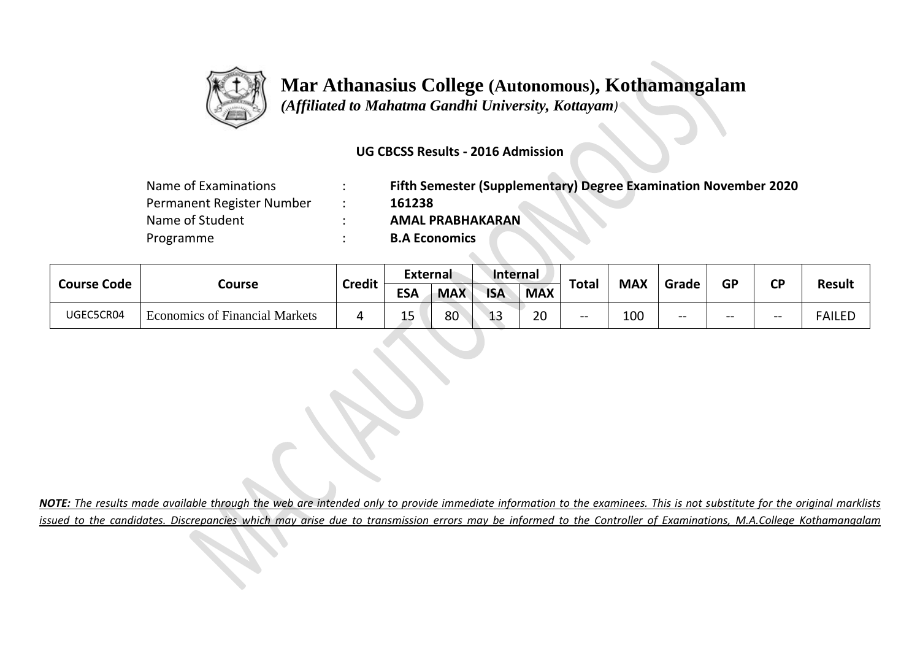

## **Mar Athanasius College (Autonomous), Kothamangalam**

 *(Affiliated to Mahatma Gandhi University, Kottayam)*

**UG CBCSS Results - 2016 Admission** 

| Name of Examinations      | Fifth Semester (Supplementary) Degree Examination November 2020 |
|---------------------------|-----------------------------------------------------------------|
| Permanent Register Number | 161238                                                          |
| Name of Student           | <b>AMAL PRABHAKARAN</b>                                         |
| Programme                 | <b>B.A Economics</b>                                            |

 $\sim$   $\sim$ 

| <b>Course Code</b> | Course                                | <b>Credit</b> | <b>External</b> |            | Internal   |            |              |            |       | <b>GP</b> |           |               |
|--------------------|---------------------------------------|---------------|-----------------|------------|------------|------------|--------------|------------|-------|-----------|-----------|---------------|
|                    |                                       |               | <b>ESA</b>      | <b>MAX</b> | <b>ISA</b> | <b>MAX</b> | <b>Total</b> | <b>MAX</b> | Grade |           | <b>CP</b> | <b>Result</b> |
| UGEC5CR04          | <b>Economics of Financial Markets</b> |               | 15<br>--        | 80         | 13         | 20         | $- -$        | 100        | $- -$ | --        | $- -$     | <b>FAILED</b> |

*NOTE: The results made available through the web are intended only to provide immediate information to the examinees. This is not substitute for the original marklists issued to the candidates. Discrepancies which may arise due to transmission errors may be informed to the Controller of Examinations, M.A.College Kothamangalam*